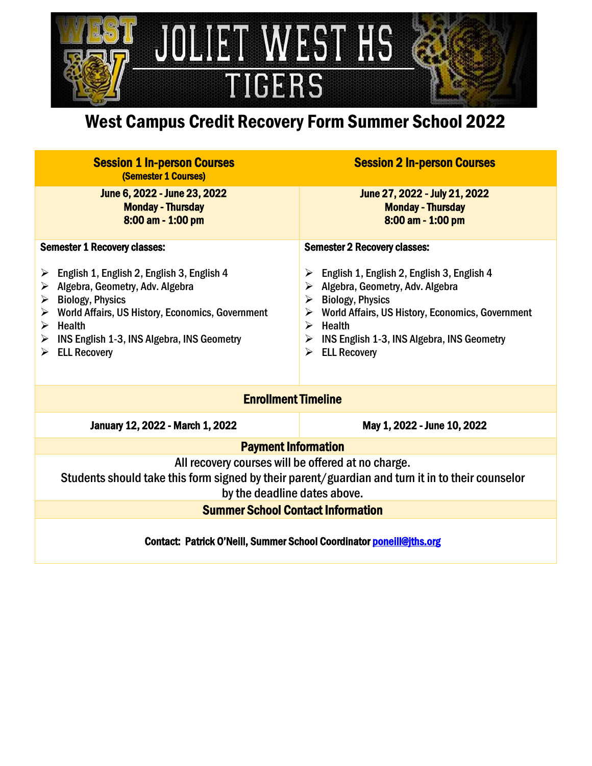

## West Campus Credit Recovery Form Summer School 2022

| <b>Session 1 In-person Courses</b><br>(Semester 1 Courses)                                                                                                                                                                                                                                                                                           | <b>Session 2 In-person Courses</b>                                                                                                                                                                                                                                                                                                              |  |
|------------------------------------------------------------------------------------------------------------------------------------------------------------------------------------------------------------------------------------------------------------------------------------------------------------------------------------------------------|-------------------------------------------------------------------------------------------------------------------------------------------------------------------------------------------------------------------------------------------------------------------------------------------------------------------------------------------------|--|
| June 6, 2022 - June 23, 2022<br><b>Monday - Thursday</b><br>8:00 am - 1:00 pm                                                                                                                                                                                                                                                                        | June 27, 2022 - July 21, 2022<br><b>Monday - Thursday</b><br>8:00 am - 1:00 pm                                                                                                                                                                                                                                                                  |  |
| <b>Semester 1 Recovery classes:</b>                                                                                                                                                                                                                                                                                                                  | <b>Semester 2 Recovery classes:</b>                                                                                                                                                                                                                                                                                                             |  |
| $\triangleright$ English 1, English 2, English 3, English 4<br>$\triangleright$ Algebra, Geometry, Adv. Algebra<br>$\triangleright$ Biology, Physics<br>$\triangleright$ World Affairs, US History, Economics, Government<br>$\triangleright$ Health<br>$\triangleright$ INS English 1-3, INS Algebra, INS Geometry<br>$\triangleright$ ELL Recovery | $\triangleright$ English 1, English 2, English 3, English 4<br>$\triangleright$ Algebra, Geometry, Adv. Algebra<br>$\triangleright$ Biology, Physics<br>$\triangleright$ World Affairs, US History, Economics, Government<br>$\triangleright$ Health<br>$\triangleright$ INS English 1-3, INS Algebra, INS Geometry<br><b>ELL Recovery</b><br>➤ |  |
| <b>Enrollment Timeline</b>                                                                                                                                                                                                                                                                                                                           |                                                                                                                                                                                                                                                                                                                                                 |  |
| <b>January 12, 2022 - March 1, 2022</b>                                                                                                                                                                                                                                                                                                              | May 1, 2022 - June 10, 2022                                                                                                                                                                                                                                                                                                                     |  |
| <b>Payment Information</b>                                                                                                                                                                                                                                                                                                                           |                                                                                                                                                                                                                                                                                                                                                 |  |
| All recovery courses will be offered at no charge.<br>Students should take this form signed by their parent/guardian and turn it in to their counselor<br>by the deadline dates above.                                                                                                                                                               |                                                                                                                                                                                                                                                                                                                                                 |  |
| <b>Summer School Contact Information</b>                                                                                                                                                                                                                                                                                                             |                                                                                                                                                                                                                                                                                                                                                 |  |
| Contact: Patrick O'Neill, Summer School Coordinator poneill@jths.org                                                                                                                                                                                                                                                                                 |                                                                                                                                                                                                                                                                                                                                                 |  |